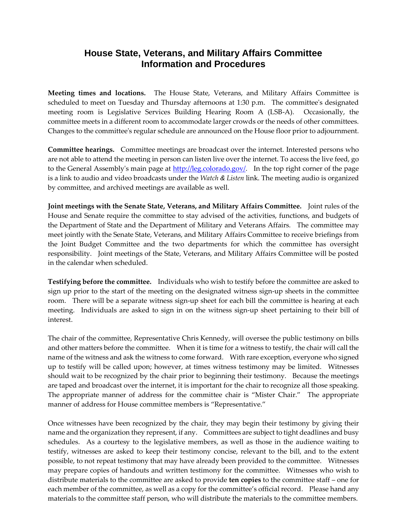## **House State, Veterans, and Military Affairs Committee Information and Procedures**

**Meeting times and locations.**The House State, Veterans, and Military Affairs Committee is scheduled to meet on Tuesday and Thursday afternoons at 1:30 p.m. The committee's designated meeting room is Legislative Services Building Hearing Room A (LSB-A). Occasionally, the committee meets in a different room to accommodate larger crowds or the needs of other committees. Changes to the committee's regular schedule are announced on the House floor prior to adjournment.

**Committee hearings.**Committee meetings are broadcast over the internet. Interested persons who are not able to attend the meeting in person can listen live over the internet. To access the live feed, go to the General Assembly's main page at [http://leg.colorado.gov/.](http://leg.colorado.gov/) In the top right corner of the page is a link to audio and video broadcasts under the *Watch & Listen* link. The meeting audio is organized by committee, and archived meetings are available as well.

**Joint meetings with the Senate State, Veterans, and Military Affairs Committee.** Joint rules of the House and Senate require the committee to stay advised of the activities, functions, and budgets of the Department of State and the Department of Military and Veterans Affairs. The committee may meet jointly with the Senate State, Veterans, and Military Affairs Committee to receive briefings from the Joint Budget Committee and the two departments for which the committee has oversight responsibility. Joint meetings of the State, Veterans, and Military Affairs Committee will be posted in the calendar when scheduled.

**Testifying before the committee.** Individuals who wish to testify before the committee are asked to sign up prior to the start of the meeting on the designated witness sign-up sheets in the committee room. There will be a separate witness sign-up sheet for each bill the committee is hearing at each meeting. Individuals are asked to sign in on the witness sign-up sheet pertaining to their bill of interest.

The chair of the committee, Representative Chris Kennedy, will oversee the public testimony on bills and other matters before the committee. When it is time for a witness to testify, the chair will call the name of the witness and ask the witness to come forward. With rare exception, everyone who signed up to testify will be called upon; however, at times witness testimony may be limited. Witnesses should wait to be recognized by the chair prior to beginning their testimony. Because the meetings are taped and broadcast over the internet, it is important for the chair to recognize all those speaking. The appropriate manner of address for the committee chair is "Mister Chair." The appropriate manner of address for House committee members is "Representative."

Once witnesses have been recognized by the chair, they may begin their testimony by giving their name and the organization they represent, if any. Committees are subject to tight deadlines and busy schedules. As a courtesy to the legislative members, as well as those in the audience waiting to testify, witnesses are asked to keep their testimony concise, relevant to the bill, and to the extent possible, to not repeat testimony that may have already been provided to the committee. Witnesses may prepare copies of handouts and written testimony for the committee. Witnesses who wish to distribute materials to the committee are asked to provide **ten copies** to the committee staff – one for each member of the committee, as well as a copy for the committee's official record. Please hand any materials to the committee staff person, who will distribute the materials to the committee members.